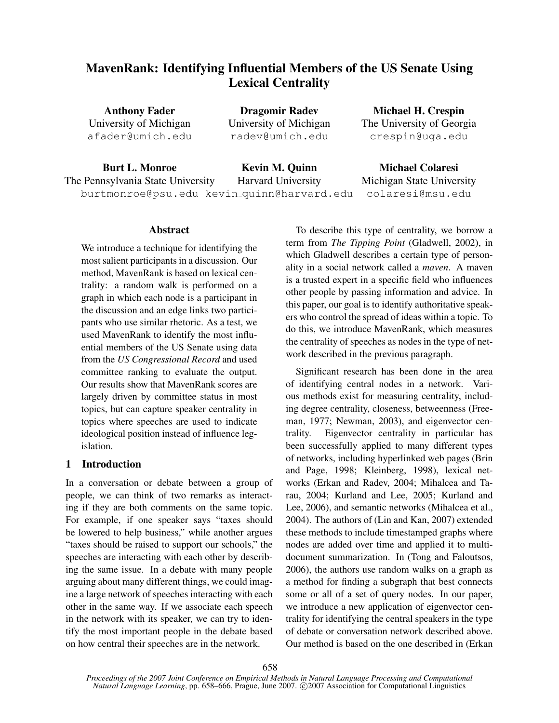# MavenRank: Identifying Influential Members of the US Senate Using Lexical Centrality

Anthony Fader University of Michigan afader@umich.edu

Dragomir Radev University of Michigan radev@umich.edu

Michael H. Crespin The University of Georgia crespin@uga.edu

Burt L. Monroe The Pennsylvania State University burtmonroe@psu.edu kevin quinn@harvard.edu Kevin M. Quinn Harvard University Michael Colaresi Michigan State University colaresi@msu.edu

## Abstract

We introduce a technique for identifying the most salient participants in a discussion. Our method, MavenRank is based on lexical centrality: a random walk is performed on a graph in which each node is a participant in the discussion and an edge links two participants who use similar rhetoric. As a test, we used MavenRank to identify the most influential members of the US Senate using data from the *US Congressional Record* and used committee ranking to evaluate the output. Our results show that MavenRank scores are largely driven by committee status in most topics, but can capture speaker centrality in topics where speeches are used to indicate ideological position instead of influence legislation.

## 1 Introduction

In a conversation or debate between a group of people, we can think of two remarks as interacting if they are both comments on the same topic. For example, if one speaker says "taxes should be lowered to help business," while another argues "taxes should be raised to support our schools," the speeches are interacting with each other by describing the same issue. In a debate with many people arguing about many different things, we could imagine a large network of speeches interacting with each other in the same way. If we associate each speech in the network with its speaker, we can try to identify the most important people in the debate based on how central their speeches are in the network.

To describe this type of centrality, we borrow a term from *The Tipping Point* (Gladwell, 2002), in which Gladwell describes a certain type of personality in a social network called a *maven*. A maven is a trusted expert in a specific field who influences other people by passing information and advice. In this paper, our goal is to identify authoritative speakers who control the spread of ideas within a topic. To do this, we introduce MavenRank, which measures the centrality of speeches as nodes in the type of network described in the previous paragraph.

Significant research has been done in the area of identifying central nodes in a network. Various methods exist for measuring centrality, including degree centrality, closeness, betweenness (Freeman, 1977; Newman, 2003), and eigenvector centrality. Eigenvector centrality in particular has been successfully applied to many different types of networks, including hyperlinked web pages (Brin and Page, 1998; Kleinberg, 1998), lexical networks (Erkan and Radev, 2004; Mihalcea and Tarau, 2004; Kurland and Lee, 2005; Kurland and Lee, 2006), and semantic networks (Mihalcea et al., 2004). The authors of (Lin and Kan, 2007) extended these methods to include timestamped graphs where nodes are added over time and applied it to multidocument summarization. In (Tong and Faloutsos, 2006), the authors use random walks on a graph as a method for finding a subgraph that best connects some or all of a set of query nodes. In our paper, we introduce a new application of eigenvector centrality for identifying the central speakers in the type of debate or conversation network described above. Our method is based on the one described in (Erkan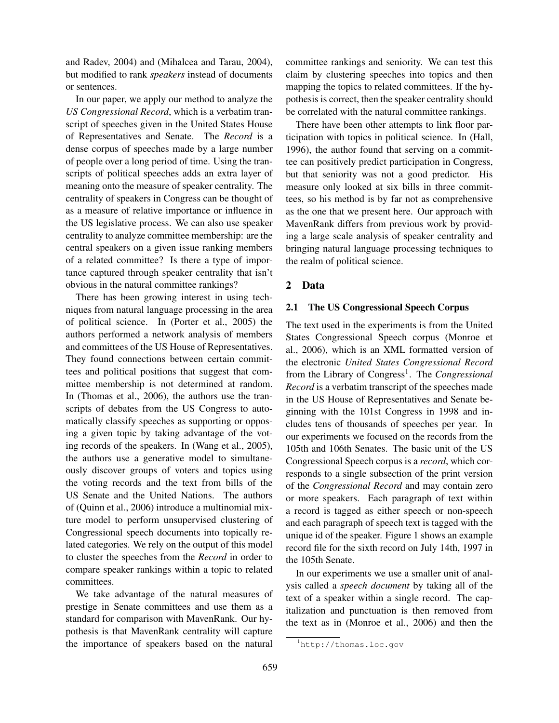and Radev, 2004) and (Mihalcea and Tarau, 2004), but modified to rank *speakers* instead of documents or sentences.

In our paper, we apply our method to analyze the *US Congressional Record*, which is a verbatim transcript of speeches given in the United States House of Representatives and Senate. The *Record* is a dense corpus of speeches made by a large number of people over a long period of time. Using the transcripts of political speeches adds an extra layer of meaning onto the measure of speaker centrality. The centrality of speakers in Congress can be thought of as a measure of relative importance or influence in the US legislative process. We can also use speaker centrality to analyze committee membership: are the central speakers on a given issue ranking members of a related committee? Is there a type of importance captured through speaker centrality that isn't obvious in the natural committee rankings?

There has been growing interest in using techniques from natural language processing in the area of political science. In (Porter et al., 2005) the authors performed a network analysis of members and committees of the US House of Representatives. They found connections between certain committees and political positions that suggest that committee membership is not determined at random. In (Thomas et al., 2006), the authors use the transcripts of debates from the US Congress to automatically classify speeches as supporting or opposing a given topic by taking advantage of the voting records of the speakers. In (Wang et al., 2005), the authors use a generative model to simultaneously discover groups of voters and topics using the voting records and the text from bills of the US Senate and the United Nations. The authors of (Quinn et al., 2006) introduce a multinomial mixture model to perform unsupervised clustering of Congressional speech documents into topically related categories. We rely on the output of this model to cluster the speeches from the *Record* in order to compare speaker rankings within a topic to related committees.

We take advantage of the natural measures of prestige in Senate committees and use them as a standard for comparison with MavenRank. Our hypothesis is that MavenRank centrality will capture the importance of speakers based on the natural committee rankings and seniority. We can test this claim by clustering speeches into topics and then mapping the topics to related committees. If the hypothesis is correct, then the speaker centrality should be correlated with the natural committee rankings.

There have been other attempts to link floor participation with topics in political science. In (Hall, 1996), the author found that serving on a committee can positively predict participation in Congress, but that seniority was not a good predictor. His measure only looked at six bills in three committees, so his method is by far not as comprehensive as the one that we present here. Our approach with MavenRank differs from previous work by providing a large scale analysis of speaker centrality and bringing natural language processing techniques to the realm of political science.

## 2 Data

#### 2.1 The US Congressional Speech Corpus

The text used in the experiments is from the United States Congressional Speech corpus (Monroe et al., 2006), which is an XML formatted version of the electronic *United States Congressional Record* from the Library of Congress<sup>1</sup>. The *Congressional Record* is a verbatim transcript of the speeches made in the US House of Representatives and Senate beginning with the 101st Congress in 1998 and includes tens of thousands of speeches per year. In our experiments we focused on the records from the 105th and 106th Senates. The basic unit of the US Congressional Speech corpus is a *record*, which corresponds to a single subsection of the print version of the *Congressional Record* and may contain zero or more speakers. Each paragraph of text within a record is tagged as either speech or non-speech and each paragraph of speech text is tagged with the unique id of the speaker. Figure 1 shows an example record file for the sixth record on July 14th, 1997 in the 105th Senate.

In our experiments we use a smaller unit of analysis called a *speech document* by taking all of the text of a speaker within a single record. The capitalization and punctuation is then removed from the text as in (Monroe et al., 2006) and then the

<sup>1</sup>http://thomas.loc.gov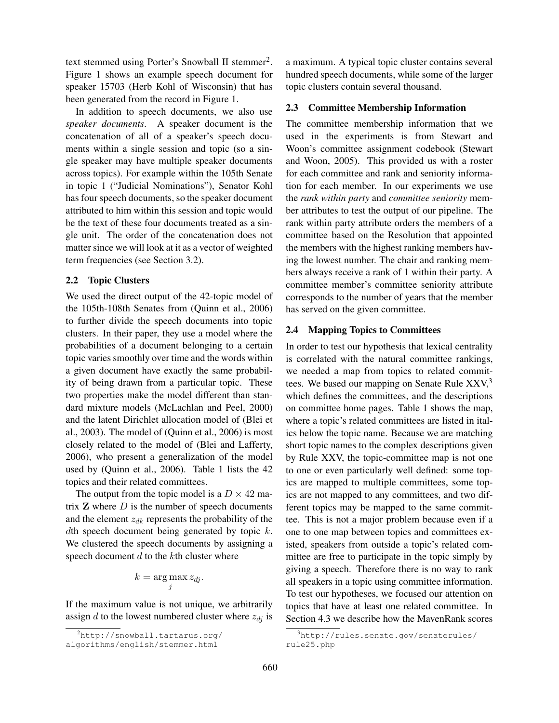text stemmed using Porter's Snowball II stemmer<sup>2</sup>. Figure 1 shows an example speech document for speaker 15703 (Herb Kohl of Wisconsin) that has been generated from the record in Figure 1.

In addition to speech documents, we also use *speaker documents*. A speaker document is the concatenation of all of a speaker's speech documents within a single session and topic (so a single speaker may have multiple speaker documents across topics). For example within the 105th Senate in topic 1 ("Judicial Nominations"), Senator Kohl has four speech documents, so the speaker document attributed to him within this session and topic would be the text of these four documents treated as a single unit. The order of the concatenation does not matter since we will look at it as a vector of weighted term frequencies (see Section 3.2).

#### 2.2 Topic Clusters

We used the direct output of the 42-topic model of the 105th-108th Senates from (Quinn et al., 2006) to further divide the speech documents into topic clusters. In their paper, they use a model where the probabilities of a document belonging to a certain topic varies smoothly over time and the words within a given document have exactly the same probability of being drawn from a particular topic. These two properties make the model different than standard mixture models (McLachlan and Peel, 2000) and the latent Dirichlet allocation model of (Blei et al., 2003). The model of (Quinn et al., 2006) is most closely related to the model of (Blei and Lafferty, 2006), who present a generalization of the model used by (Quinn et al., 2006). Table 1 lists the 42 topics and their related committees.

The output from the topic model is a  $D \times 42$  matrix  $Z$  where  $D$  is the number of speech documents and the element  $z_{dk}$  represents the probability of the dth speech document being generated by topic  $k$ . We clustered the speech documents by assigning a speech document  $d$  to the  $k$ th cluster where

$$
k = \arg\max_j z_{dj}.
$$

If the maximum value is not unique, we arbitrarily assign d to the lowest numbered cluster where  $z_{dj}$  is a maximum. A typical topic cluster contains several hundred speech documents, while some of the larger topic clusters contain several thousand.

#### 2.3 Committee Membership Information

The committee membership information that we used in the experiments is from Stewart and Woon's committee assignment codebook (Stewart and Woon, 2005). This provided us with a roster for each committee and rank and seniority information for each member. In our experiments we use the *rank within party* and *committee seniority* member attributes to test the output of our pipeline. The rank within party attribute orders the members of a committee based on the Resolution that appointed the members with the highest ranking members having the lowest number. The chair and ranking members always receive a rank of 1 within their party. A committee member's committee seniority attribute corresponds to the number of years that the member has served on the given committee.

#### 2.4 Mapping Topics to Committees

In order to test our hypothesis that lexical centrality is correlated with the natural committee rankings, we needed a map from topics to related committees. We based our mapping on Senate Rule  $XXV<sub>3</sub>$ <sup>3</sup> which defines the committees, and the descriptions on committee home pages. Table 1 shows the map, where a topic's related committees are listed in italics below the topic name. Because we are matching short topic names to the complex descriptions given by Rule XXV, the topic-committee map is not one to one or even particularly well defined: some topics are mapped to multiple committees, some topics are not mapped to any committees, and two different topics may be mapped to the same committee. This is not a major problem because even if a one to one map between topics and committees existed, speakers from outside a topic's related committee are free to participate in the topic simply by giving a speech. Therefore there is no way to rank all speakers in a topic using committee information. To test our hypotheses, we focused our attention on topics that have at least one related committee. In Section 4.3 we describe how the MavenRank scores

<sup>2</sup>http://snowball.tartarus.org/

algorithms/english/stemmer.html

<sup>3</sup>http://rules.senate.gov/senaterules/ rule25.php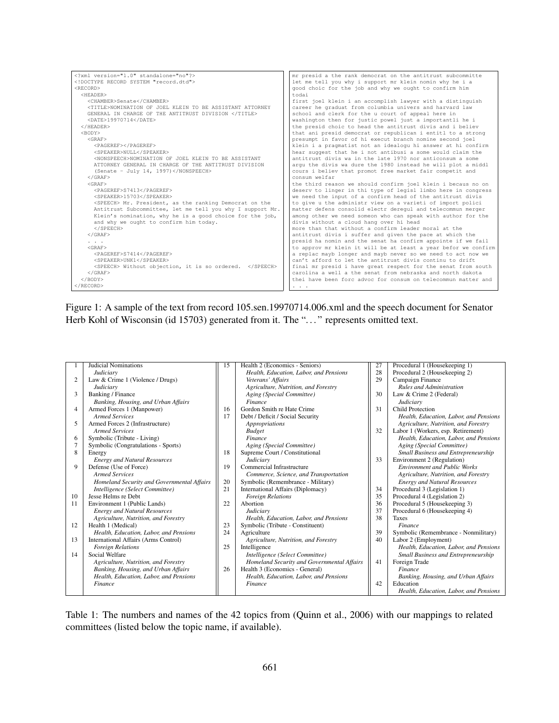| xml version="1.0" standalone="no"?                               | mr presid a the rank democrat on the antitrust subcommitte     |
|------------------------------------------------------------------|----------------------------------------------------------------|
| RECORD SYSTEM "record.dtd"                                       | let me tell you why i support mr klein nomin why he i a        |
| <record></record>                                                | good choic for the job and why we ought to confirm him         |
| $<$ HEADER $>$                                                   | todai                                                          |
| <chamber>Senate</chamber>                                        | first joel klein i an accomplish lawyer with a distinguish     |
| <title>NOMINATION OF JOEL KLEIN TO BE ASSISTANT ATTORNEY</title> | career he graduat from columbia univers and harvard law        |
| GENERAL IN CHARGE OF THE ANTITRUST DIVISION                      | school and clerk for the u court of appeal here in             |
| $<$ DATE>19970714                                                | washington then for justic powel just a importantli he i       |
| $<$ /HEADER>                                                     | the presid choic to head the antitrust divis and i believ      |
| <body></body>                                                    | that ani presid democrat or republican i entitl to a strong    |
| $<$ GRAF>                                                        | presumpt in favor of hi execut branch nomine second joel       |
| <pageref></pageref>                                              | klein i a pragmatist not an idealogu hi answer at hi confirm   |
| <speaker>NULL</speaker>                                          | hear suggest that he i not antibusi a some would claim the     |
| <nonspeech>NOMINATION OF JOEL KLEIN TO BE ASSISTANT</nonspeech>  | antitrust divis wa in the late 1970 nor anticonsum a some      |
| ATTORNEY GENERAL IN CHARGE OF THE ANTITRUST DIVISION             | arqu the divis wa dure the 1980 instead he will plot a middl   |
| (Senate - July 14, 1997)                                         | cours i believ that promot free market fair competit and       |
| $<$ / $GRAF$                                                     | consum welfar                                                  |
| $<$ GRAF>                                                        | the third reason we should confirm joel klein i becaus no on   |
| <pageref>S7413</pageref>                                         | deserv to linger in thi type of legisl limbo here in congress  |
| <speaker>15703</speaker>                                         | we need the input of a confirm head of the antitrust divis     |
| <speech> Mr. President, as the ranking Democrat on the</speech>  | to give u the administr view on a varieti of import polici     |
| Antitrust Subcommittee, let me tell you why I support Mr.        | matter defens consolid electr deregul and telecommun merger    |
| Klein's nomination, why he is a good choice for the job,         | among other we need someon who can speak with author for the   |
| and why we ought to confirm him today.                           | divis without a cloud hang over hi head                        |
| $SPEECH>$                                                        | more than that without a confirm leader moral at the           |
| $\langle$ /GRAF>                                                 | antitrust divis i suffer and given the pace at which the       |
| $\cdots$                                                         | presid ha nomin and the senat ha confirm appointe if we fail   |
| $<$ GRAF>                                                        | to approv mr klein it will be at least a year befor we confirm |
| <pageref>S7414</pageref>                                         | a replac mayb longer and mayb never so we need to act now we   |
| <speaker>UNK1</speaker>                                          | can't afford to let the antitrust divis continu to drift       |
| <speech> Without objection, it is so ordered. </speech>          | final mr presid i have great respect for the senat from south  |
| $<$ / $GRAF$ >                                                   | carolina a well a the senat from nebraska and north dakota     |
| $<$ /BODY>                                                       | thei have been forc advoc for consum on telecommun matter and  |
| $\langle$ /RECORD>                                               | $\cdots$                                                       |
|                                                                  |                                                                |

Figure 1: A sample of the text from record 105.sen.19970714.006.xml and the speech document for Senator Herb Kohl of Wisconsin (id 15703) generated from it. The "..." represents omitted text.



Table 1: The numbers and names of the 42 topics from (Quinn et al., 2006) with our mappings to related committees (listed below the topic name, if available).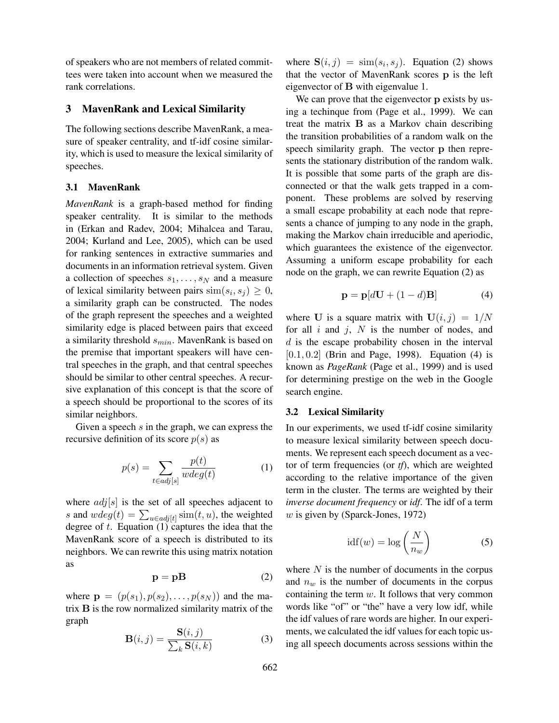of speakers who are not members of related committees were taken into account when we measured the rank correlations.

## 3 MavenRank and Lexical Similarity

The following sections describe MavenRank, a measure of speaker centrality, and tf-idf cosine similarity, which is used to measure the lexical similarity of speeches.

#### 3.1 MavenRank

*MavenRank* is a graph-based method for finding speaker centrality. It is similar to the methods in (Erkan and Radev, 2004; Mihalcea and Tarau, 2004; Kurland and Lee, 2005), which can be used for ranking sentences in extractive summaries and documents in an information retrieval system. Given a collection of speeches  $s_1, \ldots, s_N$  and a measure of lexical similarity between pairs  $\text{sim}(s_i, s_j) \geq 0$ , a similarity graph can be constructed. The nodes of the graph represent the speeches and a weighted similarity edge is placed between pairs that exceed a similarity threshold  $s_{min}$ . MavenRank is based on the premise that important speakers will have central speeches in the graph, and that central speeches should be similar to other central speeches. A recursive explanation of this concept is that the score of a speech should be proportional to the scores of its similar neighbors.

Given a speech  $s$  in the graph, we can express the recursive definition of its score  $p(s)$  as

$$
p(s) = \sum_{t \in adj[s]} \frac{p(t)}{wdeg(t)} \tag{1}
$$

where  $adj[s]$  is the set of all speeches adjacent to s and  $wdeg(t) = \sum_{u \in adj[t]} sim(t, u)$ , the weighted degree of  $t$ . Equation  $(1)$  captures the idea that the MavenRank score of a speech is distributed to its neighbors. We can rewrite this using matrix notation as

$$
\mathbf{p} = \mathbf{p} \mathbf{B} \tag{2}
$$

where  $\mathbf{p} = (p(s_1), p(s_2), \dots, p(s_N))$  and the matrix B is the row normalized similarity matrix of the graph

$$
\mathbf{B}(i,j) = \frac{\mathbf{S}(i,j)}{\sum_{k} \mathbf{S}(i,k)}\tag{3}
$$

where  $S(i, j) = \text{sim}(s_i, s_j)$ . Equation (2) shows that the vector of MavenRank scores p is the left eigenvector of B with eigenvalue 1.

We can prove that the eigenvector **p** exists by using a techinque from (Page et al., 1999). We can treat the matrix B as a Markov chain describing the transition probabilities of a random walk on the speech similarity graph. The vector **p** then represents the stationary distribution of the random walk. It is possible that some parts of the graph are disconnected or that the walk gets trapped in a component. These problems are solved by reserving a small escape probability at each node that represents a chance of jumping to any node in the graph, making the Markov chain irreducible and aperiodic, which guarantees the existence of the eigenvector. Assuming a uniform escape probability for each node on the graph, we can rewrite Equation (2) as

$$
\mathbf{p} = \mathbf{p}[d\mathbf{U} + (1 - d)\mathbf{B}] \tag{4}
$$

where U is a square matrix with  $U(i, j) = 1/N$ for all  $i$  and  $j$ ,  $N$  is the number of nodes, and  $d$  is the escape probability chosen in the interval  $[0.1, 0.2]$  (Brin and Page, 1998). Equation (4) is known as *PageRank* (Page et al., 1999) and is used for determining prestige on the web in the Google search engine.

#### 3.2 Lexical Similarity

In our experiments, we used tf-idf cosine similarity to measure lexical similarity between speech documents. We represent each speech document as a vector of term frequencies (or *tf*), which are weighted according to the relative importance of the given term in the cluster. The terms are weighted by their *inverse document frequency* or *idf*. The idf of a term  $w$  is given by (Sparck-Jones, 1972)

$$
idf(w) = \log\left(\frac{N}{n_w}\right) \tag{5}
$$

where  $N$  is the number of documents in the corpus and  $n_w$  is the number of documents in the corpus containing the term  $w$ . It follows that very common words like "of" or "the" have a very low idf, while the idf values of rare words are higher. In our experiments, we calculated the idf values for each topic using all speech documents across sessions within the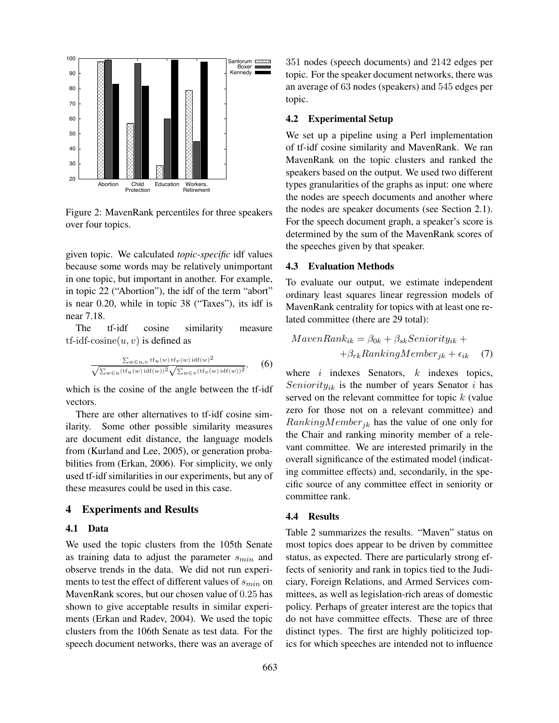

Figure 2: MavenRank percentiles for three speakers over four topics.

given topic. We calculated *topic-specific* idf values because some words may be relatively unimportant in one topic, but important in another. For example, in topic 22 ("Abortion"), the idf of the term "abort" is near 0.20, while in topic 38 ("Taxes"), its idf is near 7.18.

The tf-idf cosine similarity measure tf-idf-cosine $(u, v)$  is defined as

$$
\frac{\sum_{w \in u, v} \operatorname{tf}_{u}(w) \operatorname{tf}_{v}(w) \operatorname{idf}(w)^{2}}{\sqrt{\sum_{w \in u} (\operatorname{tf}_{u}(w) \operatorname{idf}(w))^{2}} \sqrt{\sum_{w \in v} (\operatorname{tf}_{v}(w) \operatorname{idf}(w))^{2}}}, \quad (6)
$$

which is the cosine of the angle between the tf-idf vectors.

There are other alternatives to tf-idf cosine similarity. Some other possible similarity measures are document edit distance, the language models from (Kurland and Lee, 2005), or generation probabilities from (Erkan, 2006). For simplicity, we only used tf-idf similarities in our experiments, but any of these measures could be used in this case.

#### 4 Experiments and Results

#### 4.1 Data

We used the topic clusters from the 105th Senate as training data to adjust the parameter  $s_{min}$  and observe trends in the data. We did not run experiments to test the effect of different values of  $s_{min}$  on MavenRank scores, but our chosen value of 0.25 has shown to give acceptable results in similar experiments (Erkan and Radev, 2004). We used the topic clusters from the 106th Senate as test data. For the speech document networks, there was an average of 351 nodes (speech documents) and 2142 edges per topic. For the speaker document networks, there was an average of 63 nodes (speakers) and 545 edges per topic.

#### 4.2 Experimental Setup

We set up a pipeline using a Perl implementation of tf-idf cosine similarity and MavenRank. We ran MavenRank on the topic clusters and ranked the speakers based on the output. We used two different types granularities of the graphs as input: one where the nodes are speech documents and another where the nodes are speaker documents (see Section 2.1). For the speech document graph, a speaker's score is determined by the sum of the MavenRank scores of the speeches given by that speaker.

#### 4.3 Evaluation Methods

To evaluate our output, we estimate independent ordinary least squares linear regression models of MavenRank centrality for topics with at least one related committee (there are 29 total):

$$
MavenRank_{ik} = \beta_{0k} + \beta_{sk} Seniority_{ik} ++\beta_{rk} RankingMember_{jk} + \epsilon_{ik}
$$
 (7)

where  $i$  indexes Senators,  $k$  indexes topics, Seniority<sub>ik</sub> is the number of years Senator i has served on the relevant committee for topic  $k$  (value zero for those not on a relevant committee) and  $RankingMember_{jk}$  has the value of one only for the Chair and ranking minority member of a relevant committee. We are interested primarily in the overall significance of the estimated model (indicating committee effects) and, secondarily, in the specific source of any committee effect in seniority or committee rank.

#### 4.4 Results

Table 2 summarizes the results. "Maven" status on most topics does appear to be driven by committee status, as expected. There are particularly strong effects of seniority and rank in topics tied to the Judiciary, Foreign Relations, and Armed Services committees, as well as legislation-rich areas of domestic policy. Perhaps of greater interest are the topics that do not have committee effects. These are of three distinct types. The first are highly politicized topics for which speeches are intended not to influence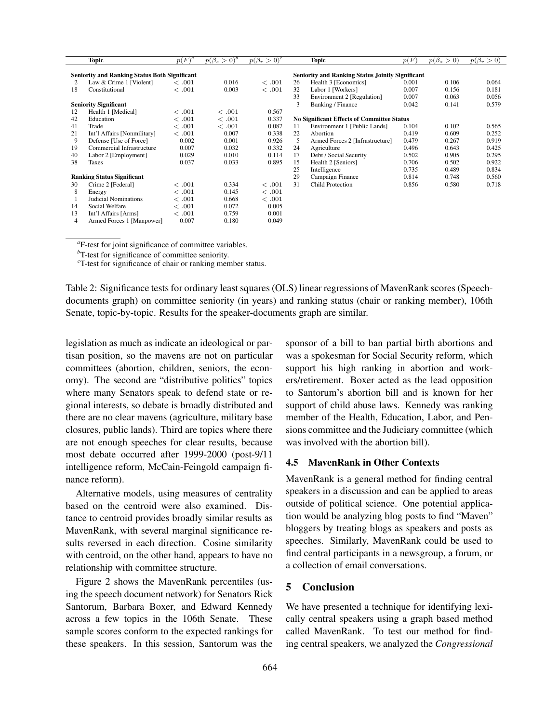|                                   | <b>Topic</b>                                         | $p(F)^a$ | $p(\beta_s>0)^b$ | $p(\beta_r>0)^c$  |                                                         | Topic                           | p(F)  | $p(\beta_s > 0)$ | $p(\beta_r > 0)$ |  |
|-----------------------------------|------------------------------------------------------|----------|------------------|-------------------|---------------------------------------------------------|---------------------------------|-------|------------------|------------------|--|
|                                   | <b>Seniority and Ranking Status Both Significant</b> |          |                  |                   | <b>Seniority and Ranking Status Jointly Significant</b> |                                 |       |                  |                  |  |
| 2                                 | Law & Crime 1 [Violent]                              | <.001    | 0.016            | <.001             | 26                                                      | Health 3 [Economics]            | 0.001 | 0.106            | 0.064            |  |
| 18                                | Constitutional                                       | <.001    | 0.003            | <.001             | 32                                                      | Labor 1 [Workers]               | 0.007 | 0.156            | 0.181            |  |
|                                   |                                                      |          |                  |                   | 33                                                      | Environment 2 [Regulation]      | 0.007 | 0.063            | 0.056            |  |
| <b>Seniority Significant</b>      |                                                      |          | 3                | Banking / Finance | 0.042                                                   | 0.141                           | 0.579 |                  |                  |  |
| 12                                | Health 1 [Medical]                                   | <.001    | <.001            | 0.567             |                                                         |                                 |       |                  |                  |  |
| 42                                | Education                                            | <.001    | $\epsilon$ .001  | 0.337             | <b>No Significant Effects of Committee Status</b>       |                                 |       |                  |                  |  |
| 41                                | Trade                                                | <.001    | <.001            | 0.087             | 11                                                      | Environment 1 [Public Lands]    | 0.104 | 0.102            | 0.565            |  |
| 21                                | Int'l Affairs [Nonmilitary]                          | <.001    | 0.007            | 0.338             | 22                                                      | Abortion                        | 0.419 | 0.609            | 0.252            |  |
| 9                                 | Defense [Use of Force]                               | 0.002    | 0.001            | 0.926             | 5                                                       | Armed Forces 2 [Infrastructure] | 0.479 | 0.267            | 0.919            |  |
| 19                                | Commercial Infrastructure                            | 0.007    | 0.032            | 0.332             | 24                                                      | Agriculture                     | 0.496 | 0.643            | 0.425            |  |
| 40                                | Labor 2 [Employment]                                 | 0.029    | 0.010            | 0.114             | 17                                                      | Debt / Social Security          | 0.502 | 0.905            | 0.295            |  |
| 38                                | Taxes                                                | 0.037    | 0.033            | 0.895             | 15                                                      | Health 2 [Seniors]              | 0.706 | 0.502            | 0.922            |  |
|                                   |                                                      |          |                  |                   | 25                                                      | Intelligence                    | 0.735 | 0.489            | 0.834            |  |
| <b>Ranking Status Significant</b> |                                                      |          | 29               | Campaign Finance  | 0.814                                                   | 0.748                           | 0.560 |                  |                  |  |
| 30                                | Crime 2 [Federal]                                    | <.001    | 0.334            | <.001             | 31                                                      | <b>Child Protection</b>         | 0.856 | 0.580            | 0.718            |  |
| 8                                 | Energy                                               | <.001    | 0.145            | <.001             |                                                         |                                 |       |                  |                  |  |
|                                   | Judicial Nominations                                 | <.001    | 0.668            | <.001             |                                                         |                                 |       |                  |                  |  |
| 14                                | Social Welfare                                       | <.001    | 0.072            | 0.005             |                                                         |                                 |       |                  |                  |  |
| 13                                | Int'l Affairs [Arms]                                 | <.001    | 0.759            | 0.001             |                                                         |                                 |       |                  |                  |  |
| 4                                 | Armed Forces 1 [Manpower]                            | 0.007    | 0.180            | 0.049             |                                                         |                                 |       |                  |                  |  |

*a* F-test for joint significance of committee variables.

*<sup>b</sup>*T-test for significance of committee seniority.

*<sup>c</sup>*T-test for significance of chair or ranking member status.

Table 2: Significance tests for ordinary least squares (OLS) linear regressions of MavenRank scores (Speechdocuments graph) on committee seniority (in years) and ranking status (chair or ranking member), 106th Senate, topic-by-topic. Results for the speaker-documents graph are similar.

legislation as much as indicate an ideological or partisan position, so the mavens are not on particular committees (abortion, children, seniors, the economy). The second are "distributive politics" topics where many Senators speak to defend state or regional interests, so debate is broadly distributed and there are no clear mavens (agriculture, military base closures, public lands). Third are topics where there are not enough speeches for clear results, because most debate occurred after 1999-2000 (post-9/11 intelligence reform, McCain-Feingold campaign finance reform).

Alternative models, using measures of centrality based on the centroid were also examined. Distance to centroid provides broadly similar results as MavenRank, with several marginal significance results reversed in each direction. Cosine similarity with centroid, on the other hand, appears to have no relationship with committee structure.

Figure 2 shows the MavenRank percentiles (using the speech document network) for Senators Rick Santorum, Barbara Boxer, and Edward Kennedy across a few topics in the 106th Senate. These sample scores conform to the expected rankings for these speakers. In this session, Santorum was the sponsor of a bill to ban partial birth abortions and was a spokesman for Social Security reform, which support his high ranking in abortion and workers/retirement. Boxer acted as the lead opposition to Santorum's abortion bill and is known for her support of child abuse laws. Kennedy was ranking member of the Health, Education, Labor, and Pensions committee and the Judiciary committee (which was involved with the abortion bill).

#### 4.5 MavenRank in Other Contexts

MavenRank is a general method for finding central speakers in a discussion and can be applied to areas outside of political science. One potential application would be analyzing blog posts to find "Maven" bloggers by treating blogs as speakers and posts as speeches. Similarly, MavenRank could be used to find central participants in a newsgroup, a forum, or a collection of email conversations.

## 5 Conclusion

We have presented a technique for identifying lexically central speakers using a graph based method called MavenRank. To test our method for finding central speakers, we analyzed the *Congressional*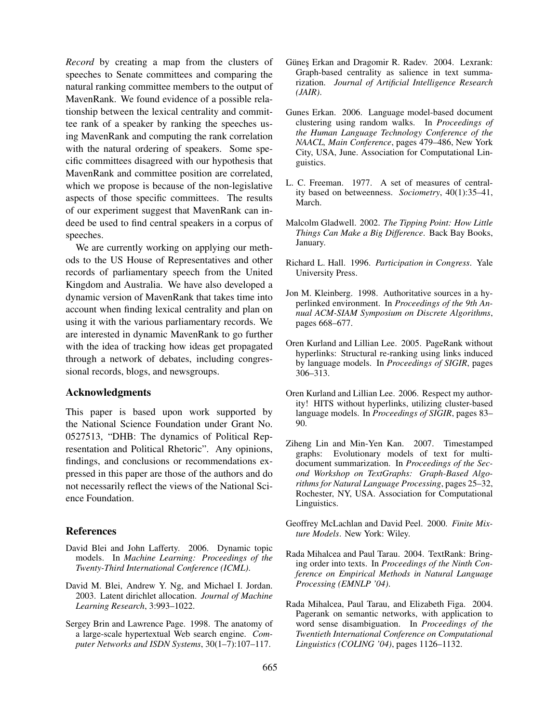*Record* by creating a map from the clusters of speeches to Senate committees and comparing the natural ranking committee members to the output of MavenRank. We found evidence of a possible relationship between the lexical centrality and committee rank of a speaker by ranking the speeches using MavenRank and computing the rank correlation with the natural ordering of speakers. Some specific committees disagreed with our hypothesis that MavenRank and committee position are correlated, which we propose is because of the non-legislative aspects of those specific committees. The results of our experiment suggest that MavenRank can indeed be used to find central speakers in a corpus of speeches.

We are currently working on applying our methods to the US House of Representatives and other records of parliamentary speech from the United Kingdom and Australia. We have also developed a dynamic version of MavenRank that takes time into account when finding lexical centrality and plan on using it with the various parliamentary records. We are interested in dynamic MavenRank to go further with the idea of tracking how ideas get propagated through a network of debates, including congressional records, blogs, and newsgroups.

## Acknowledgments

This paper is based upon work supported by the National Science Foundation under Grant No. 0527513, "DHB: The dynamics of Political Representation and Political Rhetoric". Any opinions, findings, and conclusions or recommendations expressed in this paper are those of the authors and do not necessarily reflect the views of the National Science Foundation.

#### **References**

- David Blei and John Lafferty. 2006. Dynamic topic models. In *Machine Learning: Proceedings of the Twenty-Third International Conference (ICML)*.
- David M. Blei, Andrew Y. Ng, and Michael I. Jordan. 2003. Latent dirichlet allocation. *Journal of Machine Learning Research*, 3:993–1022.
- Sergey Brin and Lawrence Page. 1998. The anatomy of a large-scale hypertextual Web search engine. *Computer Networks and ISDN Systems*, 30(1–7):107–117.
- Günes Erkan and Dragomir R. Radev. 2004. Lexrank: Graph-based centrality as salience in text summarization. *Journal of Artificial Intelligence Research (JAIR)*.
- Gunes Erkan. 2006. Language model-based document clustering using random walks. In *Proceedings of the Human Language Technology Conference of the NAACL, Main Conference*, pages 479–486, New York City, USA, June. Association for Computational Linguistics.
- L. C. Freeman. 1977. A set of measures of centrality based on betweenness. *Sociometry*, 40(1):35–41, March.
- Malcolm Gladwell. 2002. *The Tipping Point: How Little Things Can Make a Big Difference*. Back Bay Books, January.
- Richard L. Hall. 1996. *Participation in Congress*. Yale University Press.
- Jon M. Kleinberg. 1998. Authoritative sources in a hyperlinked environment. In *Proceedings of the 9th Annual ACM-SIAM Symposium on Discrete Algorithms*, pages 668–677.
- Oren Kurland and Lillian Lee. 2005. PageRank without hyperlinks: Structural re-ranking using links induced by language models. In *Proceedings of SIGIR*, pages 306–313.
- Oren Kurland and Lillian Lee. 2006. Respect my authority! HITS without hyperlinks, utilizing cluster-based language models. In *Proceedings of SIGIR*, pages 83– 90.
- Ziheng Lin and Min-Yen Kan. 2007. Timestamped graphs: Evolutionary models of text for multidocument summarization. In *Proceedings of the Second Workshop on TextGraphs: Graph-Based Algorithms for Natural Language Processing*, pages 25–32, Rochester, NY, USA. Association for Computational Linguistics.
- Geoffrey McLachlan and David Peel. 2000. *Finite Mixture Models*. New York: Wiley.
- Rada Mihalcea and Paul Tarau. 2004. TextRank: Bringing order into texts. In *Proceedings of the Ninth Conference on Empirical Methods in Natural Language Processing (EMNLP '04)*.
- Rada Mihalcea, Paul Tarau, and Elizabeth Figa. 2004. Pagerank on semantic networks, with application to word sense disambiguation. In *Proceedings of the Twentieth International Conference on Computational Linguistics (COLING '04)*, pages 1126–1132.